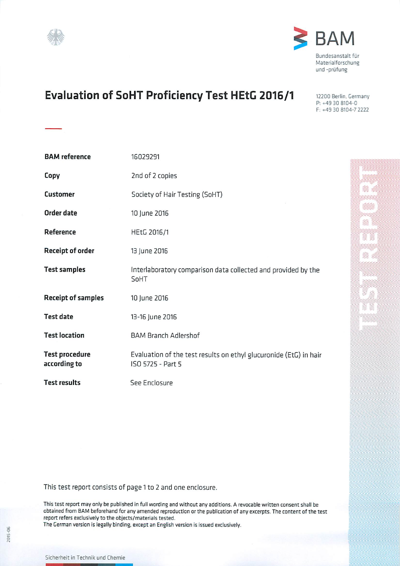



# **Evaluation of SoHT Proficiency Test HEtG 2016/1**

12200 Berlin, Germany P: +49 30 8104-0 F: +49 30 8104-7 2222

⅀

Z

330g<br>350g

| <b>BAM</b> reference                  | 16029291                                                                               |  |  |  |
|---------------------------------------|----------------------------------------------------------------------------------------|--|--|--|
| Copy                                  | 2nd of 2 copies                                                                        |  |  |  |
| <b>Customer</b>                       | Society of Hair Testing (SoHT)                                                         |  |  |  |
| Order date                            | 10 June 2016                                                                           |  |  |  |
| Reference                             | HEtG 2016/1                                                                            |  |  |  |
| <b>Receipt of order</b>               | 13 June 2016                                                                           |  |  |  |
| <b>Test samples</b>                   | Interlaboratory comparison data collected and provided by the<br>SoHT                  |  |  |  |
| <b>Receipt of samples</b>             | 10 June 2016                                                                           |  |  |  |
| <b>Test date</b>                      | 13-16 June 2016                                                                        |  |  |  |
| <b>Test location</b>                  | <b>BAM Branch Adlershof</b>                                                            |  |  |  |
| <b>Test procedure</b><br>according to | Evaluation of the test results on ethyl glucuronide (EtG) in hair<br>ISO 5725 - Part 5 |  |  |  |
| <b>Test results</b>                   | See Enclosure                                                                          |  |  |  |

This test report consists of page 1 to 2 and one enclosure.

This test report may only be published in full wording and without any additions. A revocable written consent shall be obtained from BAM beforehand for any amended reproduction or the publication of any excerpts. The content of the test report refers exclusively to the objects/materials tested.

The German version is legally binding, except an English version is issued exclusively.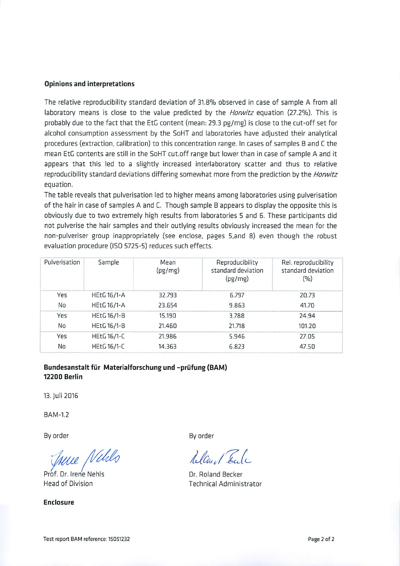#### **Opinions and interpretations**

The relative reproducibility standard deviation of 31.8% observed in case of sample A from all laboratory means is close to the value predicted by the *Horwitz* equation (27.2%). This is probably due to the fact that the EtG content (mean: 29.3 pg/mg) is close to the cut-off set for alcohol consumption assessment by the SoHT and laboratories have adjusted their analytical procedures (extraction, calibration) to this concentration range. In cases of samples B and C the mean EtG contents are still in the SoHT cut.off range but lower than in case of sample A and it appears that this led to a slightly increased interlaboratory scatter and thus to relative reproducibility standard deviations differing somewhat more from the prediction by the *Horwitz* equation.

The table reveals that pulverisation led to higher means among laboratories using pulverisation of the hair in case of samples A and C. Though sample B appears to display the opposite this is obviously due to two extremely high results from laboratories 5 and 6. These participants did not pulverise the hair samples and their outlying results obviously increased the mean for the non-pulveriser group inappropriately (see enclose, pages 5,and 8) even though the robust evaluation procedure (ISO 5725-5) reduces such effects.

| Pulverisation | Sample             | Mean<br>(pg/mg) | Reproducibility<br>standard deviation<br>(pg/mg) | Rel. reproducibility<br>standard deviation<br>(%) |
|---------------|--------------------|-----------------|--------------------------------------------------|---------------------------------------------------|
| Yes           | <b>HEtG 16/1-A</b> | 32.793          | 6.797                                            | 20.73                                             |
| No            | <b>HEtG 16/1-A</b> | 23.654          | 9.863                                            | 41.70                                             |
| Yes           | <b>HEtG 16/1-B</b> | 15.190          | 3.788                                            | 24.94                                             |
| No            | <b>HEtG 16/1-B</b> | 21.460          | 21.718                                           | 101.20                                            |
| Yes           | <b>HEtG 16/1-C</b> | 21.986          | 5.946                                            | 27.05                                             |
| No            | <b>HEtG 16/1-C</b> | 14.363          | 6.823                                            | 47.50                                             |

# Bundesanstalt für Materialforschung und -prüfung (BAM) **12200 Berlin**

13. Juli 2016

**BAM-1.2** 

By order

True Nells

Prof. Dr. Irene Nehls **Head of Division** 

**Enclosure** 

By order

Alcuel Tech

Dr. Roland Becker **Technical Administrator**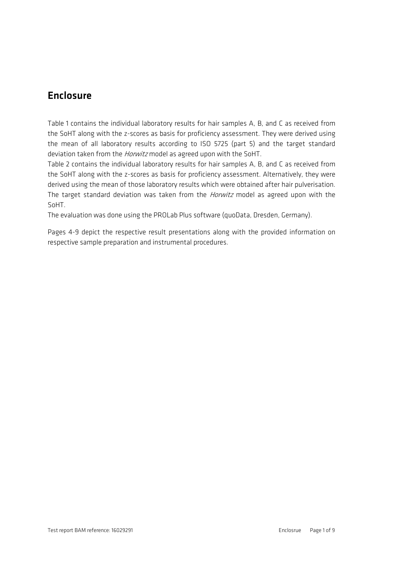# Enclosure

Table 1 contains the individual laboratory results for hair samples A, B, and C as received from the SoHT along with the z-scores as basis for proficiency assessment. They were derived using the mean of all laboratory results according to ISO 5725 (part 5) and the target standard deviation taken from the *Horwitz* model as agreed upon with the SoHT.

Table 2 contains the individual laboratory results for hair samples A, B, and C as received from the SoHT along with the z-scores as basis for proficiency assessment. Alternatively, they were derived using the mean of those laboratory results which were obtained after hair pulverisation. The target standard deviation was taken from the *Horwitz* model as agreed upon with the SoHT.

The evaluation was done using the PROLab Plus software (quoData, Dresden, Germany).

Pages 4-9 depict the respective result presentations along with the provided information on respective sample preparation and instrumental procedures.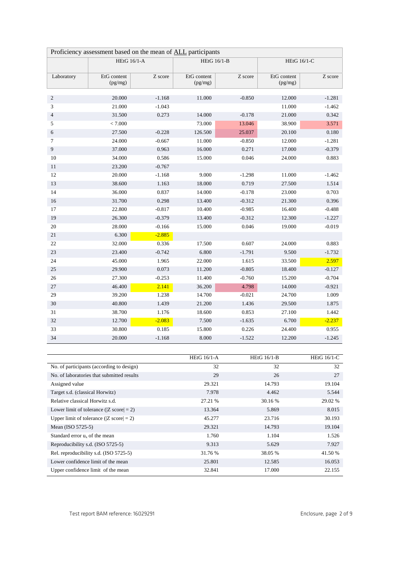| Proficiency assessment based on the mean of ALL participants |                        |          |                        |          |                        |          |
|--------------------------------------------------------------|------------------------|----------|------------------------|----------|------------------------|----------|
|                                                              | <b>HEtG 16/1-A</b>     |          | <b>HEtG 16/1-B</b>     |          | <b>HEtG 16/1-C</b>     |          |
| Laboratory                                                   | EtG content<br>(pg/mg) | Z score  | EtG content<br>(pg/mg) | Z score  | EtG content<br>(pg/mg) | Z score  |
| $\mathbf{2}$                                                 | 20.000                 | $-1.168$ | 11.000                 | $-0.850$ | 12.000                 | $-1.281$ |
| 3                                                            | 21.000                 | $-1.043$ |                        |          | 11.000                 | $-1.462$ |
| $\overline{\mathcal{L}}$                                     | 31.500                 | 0.273    | 14.000                 | $-0.178$ | 21.000                 | 0.342    |
| 5                                                            | < 7.000                |          | 73.000                 | 13.046   | 38.900                 | 3.571    |
| 6                                                            | 27.500                 | $-0.228$ | 126.500                | 25.037   | 20.100                 | 0.180    |
| 7                                                            | 24.000                 | $-0.667$ | 11.000                 | $-0.850$ | 12.000                 | $-1.281$ |
| 9                                                            | 37.000                 | 0.963    | 16.000                 | 0.271    | 17.000                 | $-0.379$ |
| 10                                                           | 34.000                 | 0.586    | 15.000                 | 0.046    | 24.000                 | 0.883    |
| $11\,$                                                       | 23.200                 | $-0.767$ |                        |          |                        |          |
| 12                                                           | 20.000                 | $-1.168$ | 9.000                  | $-1.298$ | 11.000                 | $-1.462$ |
| 13                                                           | 38.600                 | 1.163    | 18.000                 | 0.719    | 27.500                 | 1.514    |
| 14                                                           | 36.000                 | 0.837    | 14.000                 | $-0.178$ | 23.000                 | 0.703    |
| 16                                                           | 31.700                 | 0.298    | 13.400                 | $-0.312$ | 21.300                 | 0.396    |
| $17\,$                                                       | 22.800                 | $-0.817$ | 10.400                 | $-0.985$ | 16.400                 | $-0.488$ |
| 19                                                           | 26.300                 | $-0.379$ | 13.400                 | $-0.312$ | 12.300                 | $-1.227$ |
| $20\,$                                                       | 28.000                 | $-0.166$ | 15.000                 | 0.046    | 19.000                 | $-0.019$ |
| 21                                                           | 6.300                  | $-2.885$ |                        |          |                        |          |
| $22\,$                                                       | 32.000                 | 0.336    | 17.500                 | 0.607    | 24.000                 | 0.883    |
| 23                                                           | 23.400                 | $-0.742$ | 6.800                  | $-1.791$ | 9.500                  | $-1.732$ |
| 24                                                           | 45.000                 | 1.965    | 22.000                 | 1.615    | 33.500                 | 2.597    |
| 25                                                           | 29.900                 | 0.073    | 11.200                 | $-0.805$ | 18.400                 | $-0.127$ |
| $26\,$                                                       | 27.300                 | $-0.253$ | 11.400                 | $-0.760$ | 15.200                 | $-0.704$ |
| $27\,$                                                       | 46.400                 | 2.141    | 36.200                 | 4.798    | 14.000                 | $-0.921$ |
| 29                                                           | 39.200                 | 1.238    | 14.700                 | $-0.021$ | 24.700                 | 1.009    |
| $30\,$                                                       | 40.800                 | 1.439    | 21.200                 | 1.436    | 29.500                 | 1.875    |
| 31                                                           | 38.700                 | 1.176    | 18.600                 | 0.853    | 27.100                 | 1.442    |
| 32                                                           | 12.700                 | $-2.083$ | 7.500                  | $-1.635$ | 6.700                  | $-2.237$ |
| 33                                                           | 30.800                 | 0.185    | 15.800                 | 0.226    | 24.400                 | 0.955    |
| 34                                                           | 20.000                 | $-1.168$ | 8.000                  | $-1.522$ | 12.200                 | $-1.245$ |

|                                                      | HEtG $16/1-A$ | HEtG $16/1-B$ | HEtG $16/1$ -C |
|------------------------------------------------------|---------------|---------------|----------------|
| No. of participants (according to design)            | 32            | 32            | 32             |
| No. of laboratories that submitted results           | 29            | 26            | 27             |
| Assigned value                                       | 29.321        | 14.793        | 19.104         |
| Target s.d. (classical Horwitz)                      | 7.978         | 4.462         | 5.544          |
| Relative classical Horwitz s.d.                      | 27.21 %       | 30.16 %       | 29.02 %        |
| Lower limit of tolerance ( $ Z \text{ score}  = 2$ ) | 13.364        | 5.869         | 8.015          |
| Upper limit of tolerance ( $ Z \text{ score}  = 2$ ) | 45.277        | 23.716        | 30.193         |
| Mean (ISO 5725-5)                                    | 29.321        | 14.793        | 19.104         |
| Standard error $u_x$ of the mean                     | 1.760         | 1.104         | 1.526          |
| Reproducibility s.d. (ISO 5725-5)                    | 9.313         | 5.629         | 7.927          |
| Rel. reproducibility s.d. (ISO 5725-5)               | 31.76 %       | 38.05 %       | 41.50 %        |
| Lower confidence limit of the mean                   | 25.801        | 12.585        | 16.053         |
| Upper confidence limit of the mean                   | 32.841        | 17.000        | 22.155         |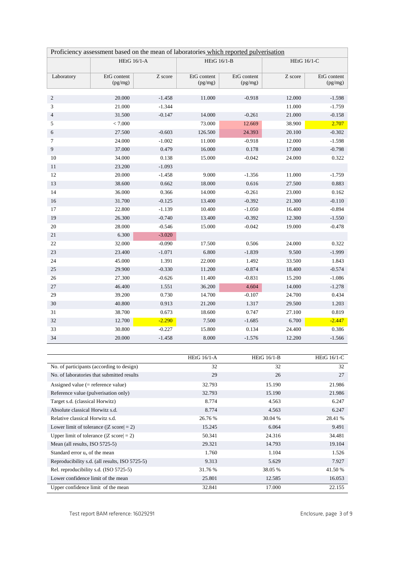| Proficiency assessment based on the mean of laboratories which reported pulverisation |                        |          |                        |                        |                    |                        |
|---------------------------------------------------------------------------------------|------------------------|----------|------------------------|------------------------|--------------------|------------------------|
|                                                                                       | <b>HEtG 16/1-A</b>     |          | <b>HEtG 16/1-B</b>     |                        | <b>HEtG 16/1-C</b> |                        |
| Laboratory                                                                            | EtG content<br>(pg/mg) | Z score  | EtG content<br>(pg/mg) | EtG content<br>(pg/mg) | Z score            | EtG content<br>(pg/mg) |
| $\boldsymbol{2}$                                                                      | 20.000                 | $-1.458$ | 11.000                 | $-0.918$               | 12.000             | $-1.598$               |
| 3                                                                                     | 21.000                 | $-1.344$ |                        |                        | 11.000             | $-1.759$               |
| $\overline{\mathcal{L}}$                                                              | 31.500                 | $-0.147$ | 14.000                 | $-0.261$               | 21.000             | $-0.158$               |
| 5                                                                                     | < 7.000                |          | 73.000                 | 12.669                 | 38.900             | 2.707                  |
| 6                                                                                     | 27.500                 | $-0.603$ | 126.500                | 24.393                 | 20.100             | $-0.302$               |
| 7                                                                                     | 24.000                 | $-1.002$ | 11.000                 | $-0.918$               | 12.000             | $-1.598$               |
| 9                                                                                     | 37.000                 | 0.479    | 16.000                 | 0.178                  | 17.000             | $-0.798$               |
| 10                                                                                    | 34.000                 | 0.138    | 15.000                 | $-0.042$               | 24.000             | 0.322                  |
| 11                                                                                    | 23.200                 | $-1.093$ |                        |                        |                    |                        |
| 12                                                                                    | 20.000                 | $-1.458$ | 9.000                  | $-1.356$               | 11.000             | $-1.759$               |
| 13                                                                                    | 38.600                 | 0.662    | 18.000                 | 0.616                  | 27.500             | 0.883                  |
| 14                                                                                    | 36.000                 | 0.366    | 14.000                 | $-0.261$               | 23.000             | 0.162                  |
| 16                                                                                    | 31.700                 | $-0.125$ | 13.400                 | $-0.392$               | 21.300             | $-0.110$               |
| 17                                                                                    | 22.800                 | $-1.139$ | 10.400                 | $-1.050$               | 16.400             | $-0.894$               |
| 19                                                                                    | 26.300                 | $-0.740$ | 13.400                 | $-0.392$               | 12.300             | $-1.550$               |
| $20\,$                                                                                | 28.000                 | $-0.546$ | 15.000                 | $-0.042$               | 19.000             | $-0.478$               |
| 21                                                                                    | 6.300                  | $-3.020$ |                        |                        |                    |                        |
| $22\,$                                                                                | 32.000                 | $-0.090$ | 17.500                 | 0.506                  | 24.000             | 0.322                  |
| 23                                                                                    | 23.400                 | $-1.071$ | 6.800                  | $-1.839$               | 9.500              | $-1.999$               |
| 24                                                                                    | 45.000                 | 1.391    | 22.000                 | 1.492                  | 33.500             | 1.843                  |
| $25\,$                                                                                | 29.900                 | $-0.330$ | 11.200                 | $-0.874$               | 18.400             | $-0.574$               |
| 26                                                                                    | 27.300                 | $-0.626$ | 11.400                 | $-0.831$               | 15.200             | $-1.086$               |
| $27\,$                                                                                | 46.400                 | 1.551    | 36.200                 | 4.604                  | 14.000             | $-1.278$               |
| 29                                                                                    | 39.200                 | 0.730    | 14.700                 | $-0.107$               | 24.700             | 0.434                  |
| 30                                                                                    | 40.800                 | 0.913    | 21.200                 | 1.317                  | 29.500             | 1.203                  |
| 31                                                                                    | 38.700                 | 0.673    | 18.600                 | 0.747                  | 27.100             | 0.819                  |
| 32                                                                                    | 12.700                 | $-2.290$ | 7.500                  | $-1.685$               | 6.700              | $-2.447$               |
| 33                                                                                    | 30.800                 | $-0.227$ | 15.800                 | 0.134                  | 24.400             | 0.386                  |
| 34                                                                                    | 20.000                 | $-1.458$ | 8.000                  | $-1.576$               | 12.200             | $-1.566$               |

|                                                      | HEtG $16/1-A$ | HEtG $16/1-B$ | HEtG $16/1$ -C |
|------------------------------------------------------|---------------|---------------|----------------|
| No. of participants (according to design)            | 32            | 32            | 32             |
| No. of laboratories that submitted results           | 29            | 26            | 27             |
| Assigned value $(=$ reference value)                 | 32.793        | 15.190        | 21.986         |
| Reference value (pulverisation only)                 | 32.793        | 15.190        | 21.986         |
| Target s.d. (classical Horwitz)                      | 8.774         | 4.563         | 6.247          |
| Absolute classical Horwitz s.d.                      | 8.774         | 4.563         | 6.247          |
| Relative classical Horwitz s.d.                      | 26.76 %       | 30.04 %       | 28.41 %        |
| Lower limit of tolerance ( $ Z \text{ score}  = 2$ ) | 15.245        | 6.064         | 9.491          |
| Upper limit of tolerance ( $ Z \text{ score}  = 2$ ) | 50.341        | 24.316        | 34.481         |
| Mean (all results, ISO 5725-5)                       | 29.321        | 14.793        | 19.104         |
| Standard error $u_x$ of the mean                     | 1.760         | 1.104         | 1.526          |
| Reproducibility s.d. (all results, ISO 5725-5)       | 9.313         | 5.629         | 7.927          |
| Rel. reproducibility s.d. (ISO 5725-5)               | 31.76 %       | 38.05 %       | 41.50 %        |
| Lower confidence limit of the mean                   | 25.801        | 12.585        | 16.053         |
| Upper confidence limit of the mean                   | 32.841        | 17.000        | 22.155         |

Test report BAM reference: 16029291 entitled and the state of the state of the Enclosure, page 3 of 9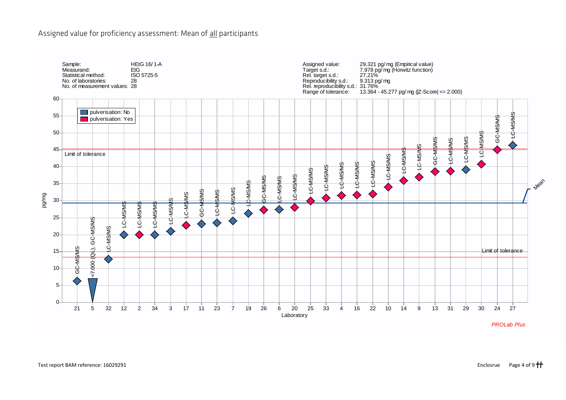# Assigned value for proficiency assessment: Mean of all participants

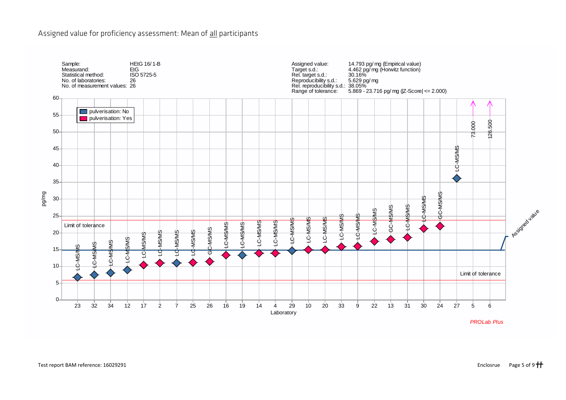# Assigned value for proficiency assessment: Mean of all participants

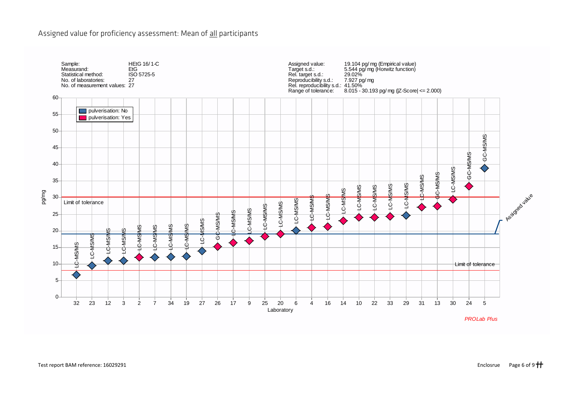# Assigned value for proficiency assessment: Mean of all participants

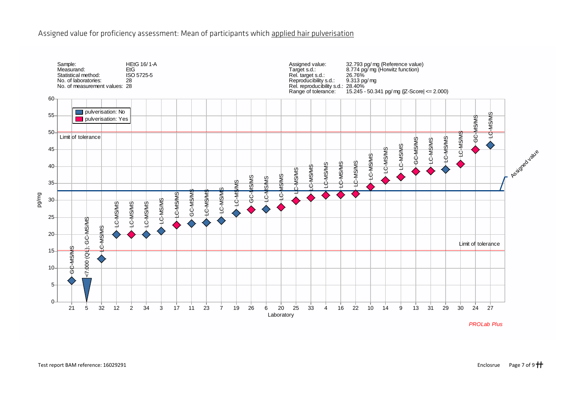# Assigned value for proficiency assessment: Mean of participants which applied hair pulverisation

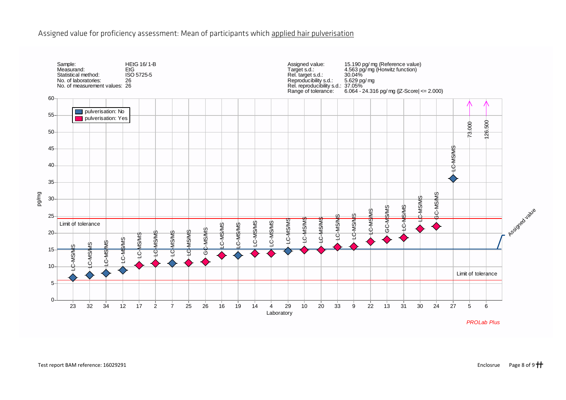# Assigned value for proficiency assessment: Mean of participants which applied hair pulverisation